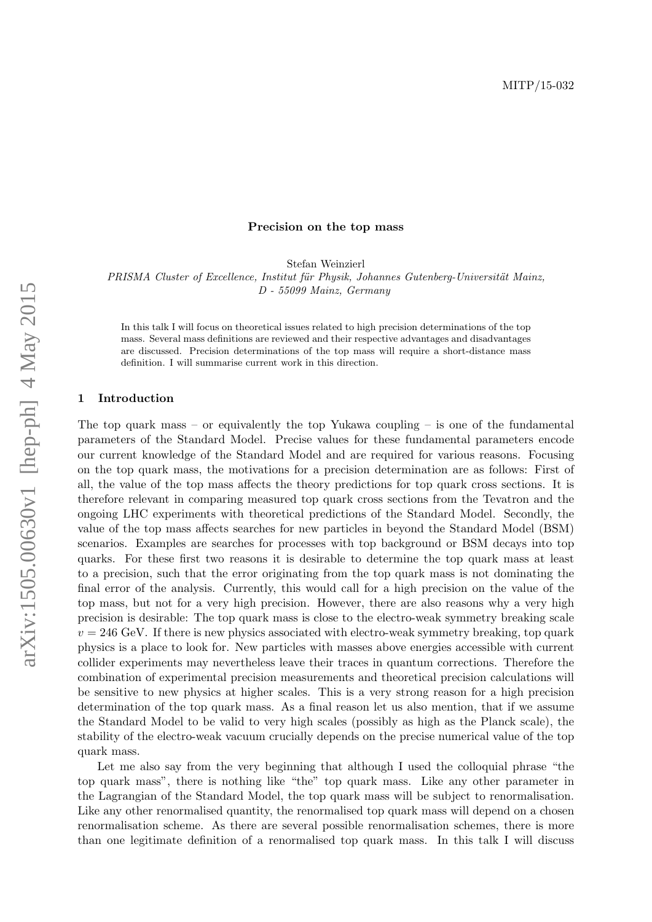### Precision on the top mass

Stefan Weinzierl

PRISMA Cluster of Excellence, Institut für Physik, Johannes Gutenberg-Universität Mainz, D - 55099 Mainz, Germany

In this talk I will focus on theoretical issues related to high precision determinations of the top mass. Several mass definitions are reviewed and their respective advantages and disadvantages are discussed. Precision determinations of the top mass will require a short-distance mass definition. I will summarise current work in this direction.

#### 1 Introduction

The top quark mass – or equivalently the top Yukawa coupling – is one of the fundamental parameters of the Standard Model. Precise values for these fundamental parameters encode our current knowledge of the Standard Model and are required for various reasons. Focusing on the top quark mass, the motivations for a precision determination are as follows: First of all, the value of the top mass affects the theory predictions for top quark cross sections. It is therefore relevant in comparing measured top quark cross sections from the Tevatron and the ongoing LHC experiments with theoretical predictions of the Standard Model. Secondly, the value of the top mass affects searches for new particles in beyond the Standard Model (BSM) scenarios. Examples are searches for processes with top background or BSM decays into top quarks. For these first two reasons it is desirable to determine the top quark mass at least to a precision, such that the error originating from the top quark mass is not dominating the final error of the analysis. Currently, this would call for a high precision on the value of the top mass, but not for a very high precision. However, there are also reasons why a very high precision is desirable: The top quark mass is close to the electro-weak symmetry breaking scale  $v = 246$  GeV. If there is new physics associated with electro-weak symmetry breaking, top quark physics is a place to look for. New particles with masses above energies accessible with current collider experiments may nevertheless leave their traces in quantum corrections. Therefore the combination of experimental precision measurements and theoretical precision calculations will be sensitive to new physics at higher scales. This is a very strong reason for a high precision determination of the top quark mass. As a final reason let us also mention, that if we assume the Standard Model to be valid to very high scales (possibly as high as the Planck scale), the stability of the electro-weak vacuum crucially depends on the precise numerical value of the top quark mass.

Let me also say from the very beginning that although I used the colloquial phrase "the top quark mass", there is nothing like "the" top quark mass. Like any other parameter in the Lagrangian of the Standard Model, the top quark mass will be subject to renormalisation. Like any other renormalised quantity, the renormalised top quark mass will depend on a chosen renormalisation scheme. As there are several possible renormalisation schemes, there is more than one legitimate definition of a renormalised top quark mass. In this talk I will discuss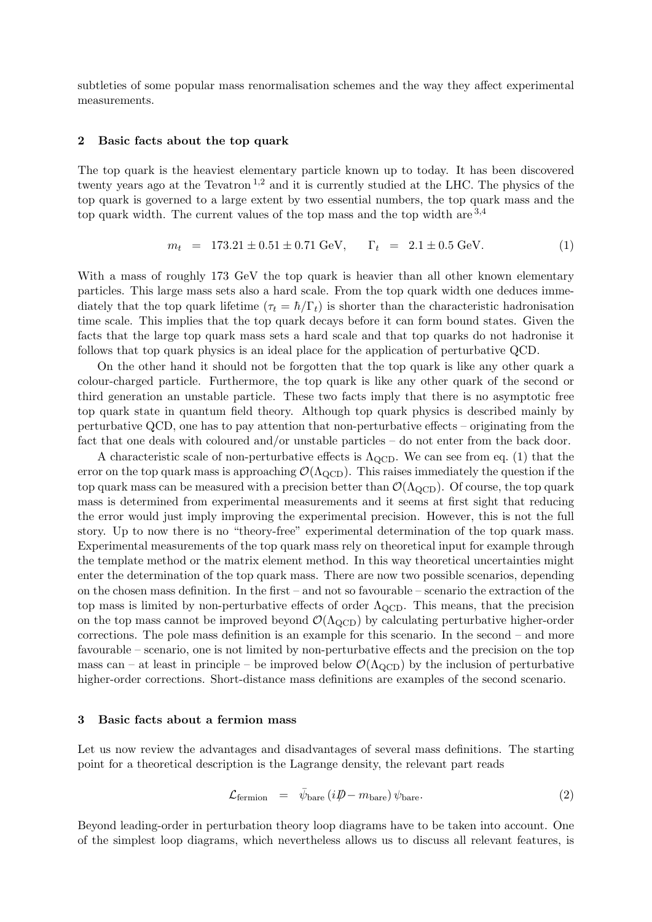subtleties of some popular mass renormalisation schemes and the way they affect experimental measurements.

#### 2 Basic facts about the top quark

The top quark is the heaviest elementary particle known up to today. It has been discovered twenty years ago at the Tevatron<sup>[1](#page-7-0),[2](#page-7-1)</sup> and it is currently studied at the LHC. The physics of the top quark is governed to a large extent by two essential numbers, the top quark mass and the top quark width. The current values of the top mass and the top width are  $3,4$  $3,4$  $3,4$ 

<span id="page-1-0"></span>
$$
m_t = 173.21 \pm 0.51 \pm 0.71 \text{ GeV}, \qquad \Gamma_t = 2.1 \pm 0.5 \text{ GeV}. \tag{1}
$$

With a mass of roughly 173 GeV the top quark is heavier than all other known elementary particles. This large mass sets also a hard scale. From the top quark width one deduces immediately that the top quark lifetime  $(\tau_t = \hbar / \Gamma_t)$  is shorter than the characteristic hadronisation time scale. This implies that the top quark decays before it can form bound states. Given the facts that the large top quark mass sets a hard scale and that top quarks do not hadronise it follows that top quark physics is an ideal place for the application of perturbative QCD.

On the other hand it should not be forgotten that the top quark is like any other quark a colour-charged particle. Furthermore, the top quark is like any other quark of the second or third generation an unstable particle. These two facts imply that there is no asymptotic free top quark state in quantum field theory. Although top quark physics is described mainly by perturbative QCD, one has to pay attention that non-perturbative effects – originating from the fact that one deals with coloured and/or unstable particles – do not enter from the back door.

A characteristic scale of non-perturbative effects is  $\Lambda_{\rm QCD}$ . We can see from eq. [\(1\)](#page-1-0) that the error on the top quark mass is approaching  $\mathcal{O}(\Lambda_{\rm QCD})$ . This raises immediately the question if the top quark mass can be measured with a precision better than  $\mathcal{O}(\Lambda_{\text{QCD}})$ . Of course, the top quark mass is determined from experimental measurements and it seems at first sight that reducing the error would just imply improving the experimental precision. However, this is not the full story. Up to now there is no "theory-free" experimental determination of the top quark mass. Experimental measurements of the top quark mass rely on theoretical input for example through the template method or the matrix element method. In this way theoretical uncertainties might enter the determination of the top quark mass. There are now two possible scenarios, depending on the chosen mass definition. In the first – and not so favourable – scenario the extraction of the top mass is limited by non-perturbative effects of order  $\Lambda_{\text{QCD}}$ . This means, that the precision on the top mass cannot be improved beyond  $\mathcal{O}(\Lambda_{\text{QCD}})$  by calculating perturbative higher-order corrections. The pole mass definition is an example for this scenario. In the second – and more favourable – scenario, one is not limited by non-perturbative effects and the precision on the top mass can – at least in principle – be improved below  $\mathcal{O}(\Lambda_{\text{QCD}})$  by the inclusion of perturbative higher-order corrections. Short-distance mass definitions are examples of the second scenario.

## 3 Basic facts about a fermion mass

Let us now review the advantages and disadvantages of several mass definitions. The starting point for a theoretical description is the Lagrange density, the relevant part reads

$$
\mathcal{L}_{\text{fermion}} = \bar{\psi}_{\text{bare}} \left( i \rlap{\,/}D - m_{\text{bare}} \right) \psi_{\text{bare}}. \tag{2}
$$

Beyond leading-order in perturbation theory loop diagrams have to be taken into account. One of the simplest loop diagrams, which nevertheless allows us to discuss all relevant features, is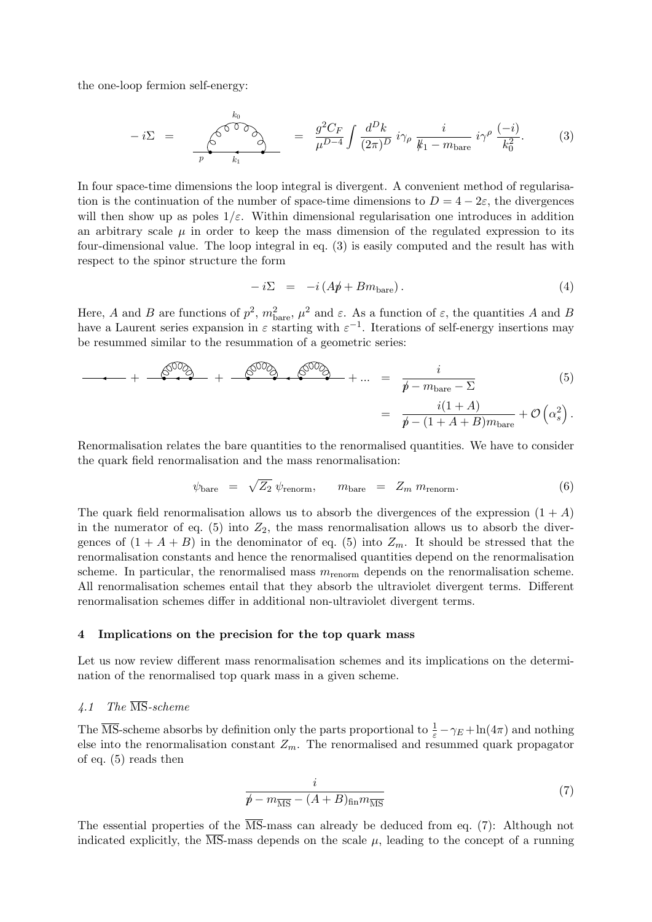the one-loop fermion self-energy:

<span id="page-2-0"></span>
$$
-i\Sigma = \frac{\int_{p}^{\sqrt{0.00}} \int_{k_1}^{k_0} = \frac{g^2 C_F}{\mu^{D-4}} \int \frac{d^D k}{(2\pi)^D} i\gamma_\rho \frac{i}{k_1 - m_{\text{bare}}} i\gamma^\rho \frac{(-i)}{k_0^2}.
$$
 (3)

In four space-time dimensions the loop integral is divergent. A convenient method of regularisation is the continuation of the number of space-time dimensions to  $D = 4 - 2\varepsilon$ , the divergences will then show up as poles  $1/\varepsilon$ . Within dimensional regularisation one introduces in addition an arbitrary scale  $\mu$  in order to keep the mass dimension of the regulated expression to its four-dimensional value. The loop integral in eq. [\(3\)](#page-2-0) is easily computed and the result has with respect to the spinor structure the form

$$
-i\Sigma = -i(Ap + Bm_{\text{bare}}). \tag{4}
$$

Here, A and B are functions of  $p^2$ ,  $m_{\text{bare}}^2$ ,  $\mu^2$  and  $\varepsilon$ . As a function of  $\varepsilon$ , the quantities A and B have a Laurent series expansion in  $\varepsilon$  starting with  $\varepsilon^{-1}$ . Iterations of self-energy insertions may be resummed similar to the resummation of a geometric series:

<span id="page-2-1"></span>
$$
+ \frac{\mathcal{S}^{00} \mathcal{S}}{p + m_{\text{bare}} - \Sigma} + \frac{\mathcal{S}^{00} \mathcal{S}}{p + m_{\text{bare}} - \Sigma}
$$
 (5)

$$
= \frac{i(1+A)}{p-(1+A+B)m_{\text{bare}}} + \mathcal{O}\left(\alpha_s^2\right).
$$

Renormalisation relates the bare quantities to the renormalised quantities. We have to consider the quark field renormalisation and the mass renormalisation:

<span id="page-2-3"></span>
$$
\psi_{\text{bare}} = \sqrt{Z_2} \psi_{\text{renorm}}, \qquad m_{\text{bare}} = Z_m \, m_{\text{renorm}}. \tag{6}
$$

The quark field renormalisation allows us to absorb the divergences of the expression  $(1 + A)$ in the numerator of eq.  $(5)$  into  $Z_2$ , the mass renormalisation allows us to absorb the divergences of  $(1 + A + B)$  in the denominator of eq. [\(5\)](#page-2-1) into  $Z_m$ . It should be stressed that the renormalisation constants and hence the renormalised quantities depend on the renormalisation scheme. In particular, the renormalised mass  $m_{\text{renorm}}$  depends on the renormalisation scheme. All renormalisation schemes entail that they absorb the ultraviolet divergent terms. Different renormalisation schemes differ in additional non-ultraviolet divergent terms.

#### 4 Implications on the precision for the top quark mass

Let us now review different mass renormalisation schemes and its implications on the determination of the renormalised top quark mass in a given scheme.

# 4.1 The MS-scheme

The  $\overline{\text{MS}}$ -scheme absorbs by definition only the parts proportional to  $\frac{1}{\varepsilon} - \gamma_E + \ln(4\pi)$  and nothing else into the renormalisation constant  $Z_m$ . The renormalised and resummed quark propagator of eq. [\(5\)](#page-2-1) reads then

<span id="page-2-2"></span>
$$
\frac{i}{\not p - m_{\overline{\rm MS}} - (A+B)_{\rm fin} m_{\overline{\rm MS}}}\tag{7}
$$

The essential properties of the  $\overline{\text{MS}}$ -mass can already be deduced from eq. [\(7\)](#page-2-2): Although not indicated explicitly, the  $\overline{\text{MS}}$ -mass depends on the scale  $\mu$ , leading to the concept of a running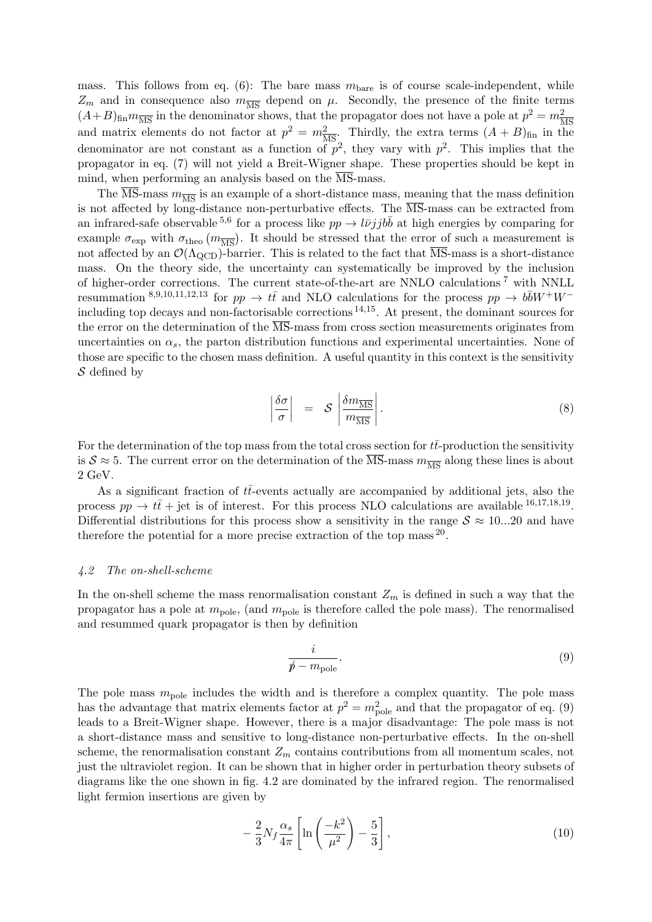mass. This follows from eq. [\(6\)](#page-2-3): The bare mass  $m_{\text{bare}}$  is of course scale-independent, while  $Z_m$  and in consequence also  $m_{\overline{MS}}$  depend on  $\mu$ . Secondly, the presence of the finite terms  $(A+B)_{fin}m_{\overline{MS}}$  in the denominator shows, that the propagator does not have a pole at  $p^2 = m_{\overline{N}}^2$ and matrix elements do not factor at  $p^2 = m_{\overline{\rm MS}}^2$ . Thirdly, the extra terms  $(A + B)_{\text{fin}}$  in the denominator are not constant as a function of  $p^2$ , they vary with  $p^2$ . This implies that the propagator in eq. [\(7\)](#page-2-2) will not yield a Breit-Wigner shape. These properties should be kept in mind, when performing an analysis based on the  $\overline{\text{MS}}$ -mass.

The  $\overline{\text{MS}}$ -mass  $m_{\overline{\text{MS}}}$  is an example of a short-distance mass, meaning that the mass definition is not affected by long-distance non-perturbative effects. The  $\overline{\text{MS}}$ -mass can be extracted from an infrared-safe observable <sup>[5](#page-7-4),[6](#page-7-5)</sup> for a process like  $pp \to l\bar{\nu}jjb\bar{b}$  at high energies by comparing for example  $\sigma_{\exp}$  with  $\sigma_{\text{theo}}(m_{\overline{\text{MS}}})$ . It should be stressed that the error of such a measurement is not affected by an  $\mathcal{O}(\Lambda_{\text{QCD}})$ -barrier. This is related to the fact that  $\overline{\text{MS}}$ -mass is a short-distance mass. On the theory side, the uncertainty can systematically be improved by the inclusion of higher-order corrections. The current state-of-the-art are NNLO calculations [7](#page-7-6) with NNLL resummation <sup>[8](#page-7-7),[9](#page-7-8),[10](#page-7-9),[11](#page-7-10),[12](#page-7-11),[13](#page-7-12)</sup> for  $pp \to t\bar{t}$  and NLO calculations for the process  $pp \to b\bar{b}W^+W^$ including top decays and non-factorisable corrections  $^{14,15}$  $^{14,15}$  $^{14,15}$  $^{14,15}$  $^{14,15}$ . At present, the dominant sources for the error on the determination of the  $\overline{\text{MS}}$ -mass from cross section measurements originates from uncertainties on  $\alpha_s$ , the parton distribution functions and experimental uncertainties. None of those are specific to the chosen mass definition. A useful quantity in this context is the sensitivity S defined by

$$
\left|\frac{\delta\sigma}{\sigma}\right| = S \left|\frac{\delta m_{\overline{\rm MS}}}{m_{\overline{\rm MS}}}\right|.
$$
 (8)

For the determination of the top mass from the total cross section for  $t\bar{t}$ -production the sensitivity is  $S \approx 5$ . The current error on the determination of the  $\overline{\text{MS}}$ -mass  $m_{\overline{\text{MS}}}$  along these lines is about 2 GeV.

As a significant fraction of  $t\bar{t}$ -events actually are accompanied by additional jets, also the process  $pp \to t\bar{t} + \text{jet}$  is of interest. For this process NLO calculations are available  $^{16,17,18,19}$  $^{16,17,18,19}$  $^{16,17,18,19}$  $^{16,17,18,19}$  $^{16,17,18,19}$  $^{16,17,18,19}$  $^{16,17,18,19}$  $^{16,17,18,19}$  $^{16,17,18,19}$ . Differential distributions for this process show a sensitivity in the range  $S \approx 10...20$  and have therefore the potential for a more precise extraction of the top mass  $^{20}$  $^{20}$  $^{20}$ .

#### 4.2 The on-shell-scheme

In the on-shell scheme the mass renormalisation constant  $Z_m$  is defined in such a way that the propagator has a pole at  $m_{\text{pole}}$ , (and  $m_{\text{pole}}$  is therefore called the pole mass). The renormalised and resummed quark propagator is then by definition

<span id="page-3-0"></span>
$$
\frac{i}{\not p - m_{\text{pole}}}.\tag{9}
$$

The pole mass  $m_{\text{pole}}$  includes the width and is therefore a complex quantity. The pole mass has the advantage that matrix elements factor at  $p^2 = m_{\text{pole}}^2$  and that the propagator of eq. [\(9\)](#page-3-0) leads to a Breit-Wigner shape. However, there is a major disadvantage: The pole mass is not a short-distance mass and sensitive to long-distance non-perturbative effects. In the on-shell scheme, the renormalisation constant  $Z_m$  contains contributions from all momentum scales, not just the ultraviolet region. It can be shown that in higher order in perturbation theory subsets of diagrams like the one shown in fig. [4.2](#page-3-1) are dominated by the infrared region. The renormalised light fermion insertions are given by

<span id="page-3-1"></span>
$$
-\frac{2}{3}N_f\frac{\alpha_s}{4\pi}\left[\ln\left(\frac{-k^2}{\mu^2}\right)-\frac{5}{3}\right],\tag{10}
$$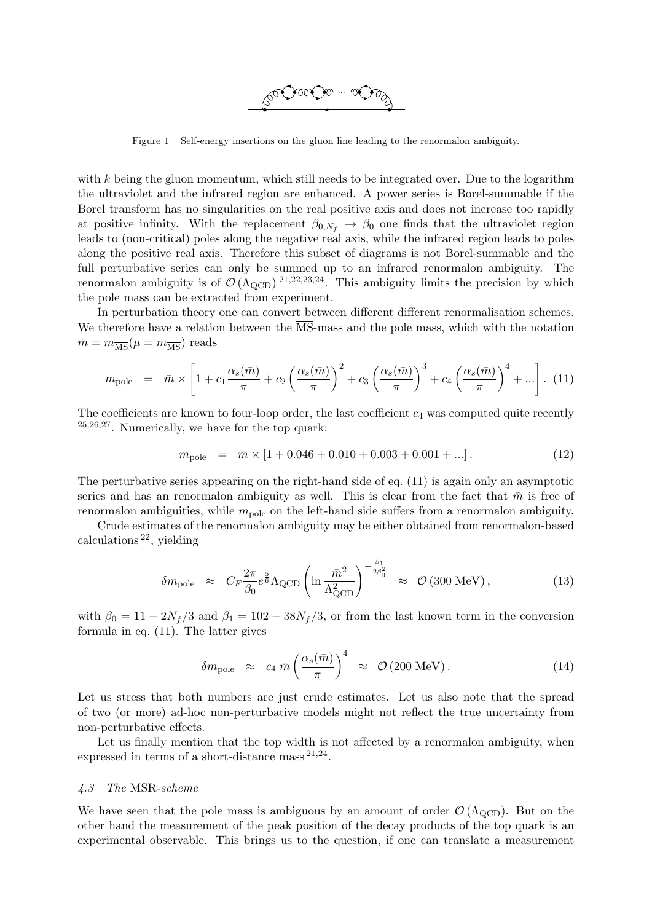

Figure 1 – Self-energy insertions on the gluon line leading to the renormalon ambiguity.

with  $k$  being the gluon momentum, which still needs to be integrated over. Due to the logarithm the ultraviolet and the infrared region are enhanced. A power series is Borel-summable if the Borel transform has no singularities on the real positive axis and does not increase too rapidly at positive infinity. With the replacement  $\beta_{0,N_f} \rightarrow \beta_0$  one finds that the ultraviolet region leads to (non-critical) poles along the negative real axis, while the infrared region leads to poles along the positive real axis. Therefore this subset of diagrams is not Borel-summable and the full perturbative series can only be summed up to an infrared renormalon ambiguity. The renormalon ambiguity is of  $\mathcal{O}(\Lambda_{\text{QCD}})^{21,22,23,24}$  $\mathcal{O}(\Lambda_{\text{QCD}})^{21,22,23,24}$  $\mathcal{O}(\Lambda_{\text{QCD}})^{21,22,23,24}$  $\mathcal{O}(\Lambda_{\text{QCD}})^{21,22,23,24}$  $\mathcal{O}(\Lambda_{\text{QCD}})^{21,22,23,24}$  $\mathcal{O}(\Lambda_{\text{QCD}})^{21,22,23,24}$  $\mathcal{O}(\Lambda_{\text{QCD}})^{21,22,23,24}$  $\mathcal{O}(\Lambda_{\text{QCD}})^{21,22,23,24}$  $\mathcal{O}(\Lambda_{\text{QCD}})^{21,22,23,24}$ . This ambiguity limits the precision by which the pole mass can be extracted from experiment.

In perturbation theory one can convert between different different renormalisation schemes. We therefore have a relation between the MS-mass and the pole mass, which with the notation  $\bar{m} = m_{\overline{\text{MS}}}(\mu = m_{\overline{\text{MS}}})$  reads

<span id="page-4-0"></span>
$$
m_{\text{pole}} = \bar{m} \times \left[ 1 + c_1 \frac{\alpha_s(\bar{m})}{\pi} + c_2 \left( \frac{\alpha_s(\bar{m})}{\pi} \right)^2 + c_3 \left( \frac{\alpha_s(\bar{m})}{\pi} \right)^3 + c_4 \left( \frac{\alpha_s(\bar{m})}{\pi} \right)^4 + \dots \right]. \tag{11}
$$

The coefficients are known to four-loop order, the last coefficient  $c_4$  was computed quite recently [25](#page-7-24),[26](#page-7-25),[27](#page-7-26). Numerically, we have for the top quark:

$$
m_{\text{pole}} = \bar{m} \times [1 + 0.046 + 0.010 + 0.003 + 0.001 + \dots]. \tag{12}
$$

The perturbative series appearing on the right-hand side of eq. [\(11\)](#page-4-0) is again only an asymptotic series and has an renormalon ambiguity as well. This is clear from the fact that  $\bar{m}$  is free of renormalon ambiguities, while  $m_{\text{pole}}$  on the left-hand side suffers from a renormalon ambiguity.

Crude estimates of the renormalon ambiguity may be either obtained from renormalon-based calculations  $^{22}$  $^{22}$  $^{22}$ , yielding

$$
\delta m_{\text{pole}} \approx C_F \frac{2\pi}{\beta_0} e^{\frac{5}{6}} \Lambda_{\text{QCD}} \left( \ln \frac{\bar{m}^2}{\Lambda_{\text{QCD}}^2} \right)^{-\frac{\beta_1}{2\beta_0^2}} \approx \mathcal{O}\left(300 \text{ MeV}\right),\tag{13}
$$

with  $\beta_0 = 11 - 2N_f/3$  and  $\beta_1 = 102 - 38N_f/3$ , or from the last known term in the conversion formula in eq. [\(11\)](#page-4-0). The latter gives

$$
\delta m_{\text{pole}} \approx c_4 \,\bar{m} \left(\frac{\alpha_s(\bar{m})}{\pi}\right)^4 \approx \mathcal{O}\left(200 \,\text{MeV}\right). \tag{14}
$$

Let us stress that both numbers are just crude estimates. Let us also note that the spread of two (or more) ad-hoc non-perturbative models might not reflect the true uncertainty from non-perturbative effects.

Let us finally mention that the top width is not affected by a renormalon ambiguity, when expressed in terms of a short-distance mass  $21,24$  $21,24$  $21,24$ .

#### 4.3 The MSR-scheme

We have seen that the pole mass is ambiguous by an amount of order  $\mathcal{O}(\Lambda_{\text{QCD}})$ . But on the other hand the measurement of the peak position of the decay products of the top quark is an experimental observable. This brings us to the question, if one can translate a measurement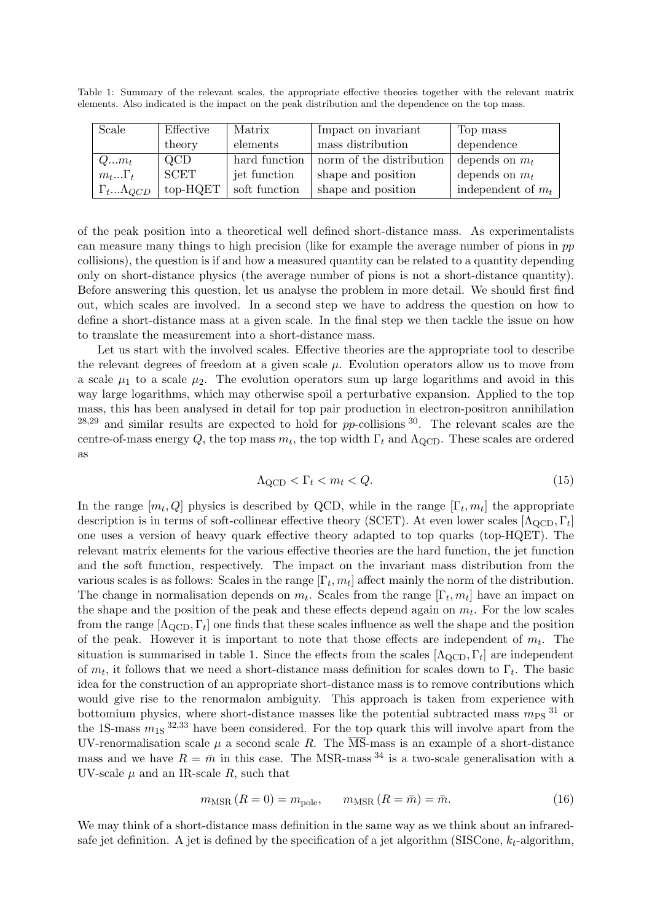Table 1: Summary of the relevant scales, the appropriate effective theories together with the relevant matrix elements. Also indicated is the impact on the peak distribution and the dependence on the top mass.

| Scale                   | Effective  | Matrix        | Impact on invariant      | Top mass             |
|-------------------------|------------|---------------|--------------------------|----------------------|
|                         | theory     | elements      | mass distribution        | dependence           |
| $Qm_t$                  | QCD        | hard function | norm of the distribution | depends on $m_t$     |
| $m_t \Gamma_t$          | SCET       | jet function  | shape and position       | depends on $m_t$     |
| $\Gamma_t\Lambda_{QCD}$ | $top-HQET$ | soft function | shape and position       | independent of $m_t$ |

of the peak position into a theoretical well defined short-distance mass. As experimentalists can measure many things to high precision (like for example the average number of pions in pp collisions), the question is if and how a measured quantity can be related to a quantity depending only on short-distance physics (the average number of pions is not a short-distance quantity). Before answering this question, let us analyse the problem in more detail. We should first find out, which scales are involved. In a second step we have to address the question on how to define a short-distance mass at a given scale. In the final step we then tackle the issue on how to translate the measurement into a short-distance mass.

Let us start with the involved scales. Effective theories are the appropriate tool to describe the relevant degrees of freedom at a given scale  $\mu$ . Evolution operators allow us to move from a scale  $\mu_1$  to a scale  $\mu_2$ . The evolution operators sum up large logarithms and avoid in this way large logarithms, which may otherwise spoil a perturbative expansion. Applied to the top mass, this has been analysed in detail for top pair production in electron-positron annihilation  $28,29$  $28,29$  $28,29$  and similar results are expected to hold for pp-collisions  $30$ . The relevant scales are the centre-of-mass energy Q, the top mass  $m_t$ , the top width  $\Gamma_t$  and  $\Lambda_{\rm QCD}$ . These scales are ordered as

<span id="page-5-0"></span>
$$
\Lambda_{\rm QCD} < \Gamma_t < m_t < Q. \tag{15}
$$

In the range  $[m_t, Q]$  physics is described by QCD, while in the range  $[\Gamma_t, m_t]$  the appropriate description is in terms of soft-collinear effective theory (SCET). At even lower scales  $[\Lambda_{\rm QCD}, \Gamma_t]$ one uses a version of heavy quark effective theory adapted to top quarks (top-HQET). The relevant matrix elements for the various effective theories are the hard function, the jet function and the soft function, respectively. The impact on the invariant mass distribution from the various scales is as follows: Scales in the range  $[\Gamma_t, m_t]$  affect mainly the norm of the distribution. The change in normalisation depends on  $m_t$ . Scales from the range  $[\Gamma_t, m_t]$  have an impact on the shape and the position of the peak and these effects depend again on  $m_t$ . For the low scales from the range  $[\Lambda_{\rm QCD}, \Gamma_t]$  one finds that these scales influence as well the shape and the position of the peak. However it is important to note that those effects are independent of  $m_t$ . The situation is summarised in table [1.](#page-5-0) Since the effects from the scales  $[\Lambda_{\rm QCD}, \Gamma_t]$  are independent of  $m_t$ , it follows that we need a short-distance mass definition for scales down to  $\Gamma_t$ . The basic idea for the construction of an appropriate short-distance mass is to remove contributions which would give rise to the renormalon ambiguity. This approach is taken from experience with bottomium physics, where short-distance masses like the potential subtracted mass  $m_{PS}$ <sup>[31](#page-8-3)</sup> or the 1S-mass  $m_{1S}^{32,33}$  $m_{1S}^{32,33}$  $m_{1S}^{32,33}$  $m_{1S}^{32,33}$  $m_{1S}^{32,33}$  have been considered. For the top quark this will involve apart from the UV-renormalisation scale  $\mu$  a second scale R. The  $\overline{\text{MS}}$ -mass is an example of a short-distance mass and we have  $R = \bar{m}$  in this case. The MSR-mass <sup>[34](#page-8-6)</sup> is a two-scale generalisation with a UV-scale  $\mu$  and an IR-scale R, such that

$$
m_{\text{MSR}}\left(R=0\right) = m_{\text{pole}}, \qquad m_{\text{MSR}}\left(R=\bar{m}\right) = \bar{m}.\tag{16}
$$

We may think of a short-distance mass definition in the same way as we think about an infraredsafe jet definition. A jet is defined by the specification of a jet algorithm (SISCone,  $k_t$ -algorithm,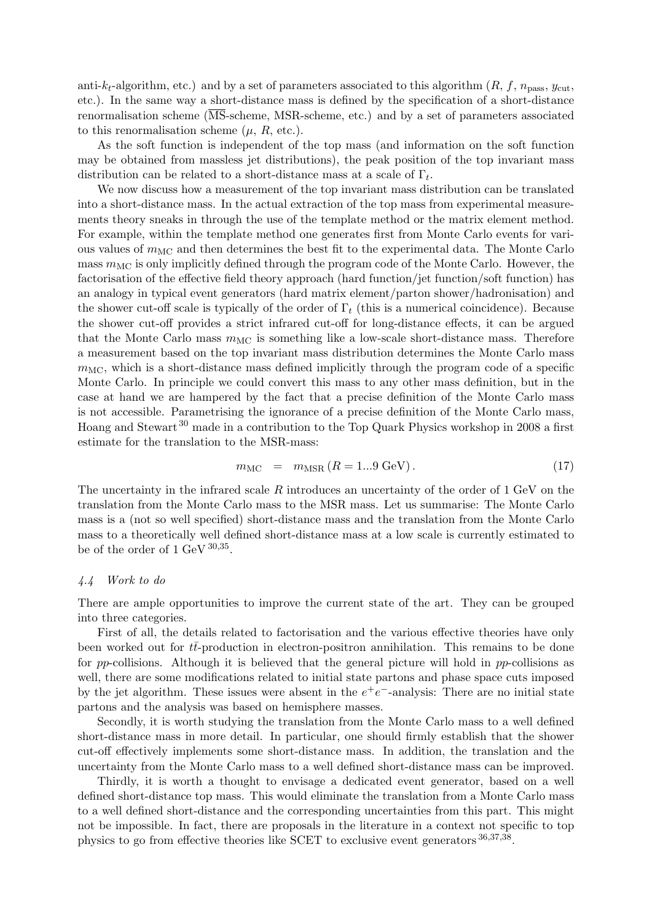anti- $k_t$ -algorithm, etc.) and by a set of parameters associated to this algorithm  $(R, f, n_{\text{pass}}, y_{\text{cut}},$ etc.). In the same way a short-distance mass is defined by the specification of a short-distance renormalisation scheme (MS-scheme, MSR-scheme, etc.) and by a set of parameters associated to this renormalisation scheme  $(\mu, R, \text{etc.}).$ 

As the soft function is independent of the top mass (and information on the soft function may be obtained from massless jet distributions), the peak position of the top invariant mass distribution can be related to a short-distance mass at a scale of  $\Gamma_t$ .

We now discuss how a measurement of the top invariant mass distribution can be translated into a short-distance mass. In the actual extraction of the top mass from experimental measurements theory sneaks in through the use of the template method or the matrix element method. For example, within the template method one generates first from Monte Carlo events for various values of  $m_{\text{MC}}$  and then determines the best fit to the experimental data. The Monte Carlo mass  $m_{\text{MC}}$  is only implicitly defined through the program code of the Monte Carlo. However, the factorisation of the effective field theory approach (hard function/jet function/soft function) has an analogy in typical event generators (hard matrix element/parton shower/hadronisation) and the shower cut-off scale is typically of the order of  $\Gamma_t$  (this is a numerical coincidence). Because the shower cut-off provides a strict infrared cut-off for long-distance effects, it can be argued that the Monte Carlo mass  $m_{MC}$  is something like a low-scale short-distance mass. Therefore a measurement based on the top invariant mass distribution determines the Monte Carlo mass  $m_{MC}$ , which is a short-distance mass defined implicitly through the program code of a specific Monte Carlo. In principle we could convert this mass to any other mass definition, but in the case at hand we are hampered by the fact that a precise definition of the Monte Carlo mass is not accessible. Parametrising the ignorance of a precise definition of the Monte Carlo mass, Hoang and Stewart [30](#page-8-2) made in a contribution to the Top Quark Physics workshop in 2008 a first estimate for the translation to the MSR-mass:

$$
m_{\rm MC} = m_{\rm MSR} (R = 1...9 \text{ GeV}). \tag{17}
$$

The uncertainty in the infrared scale R introduces an uncertainty of the order of 1 GeV on the translation from the Monte Carlo mass to the MSR mass. Let us summarise: The Monte Carlo mass is a (not so well specified) short-distance mass and the translation from the Monte Carlo mass to a theoretically well defined short-distance mass at a low scale is currently estimated to be of the order of  $1 \text{ GeV}^{30,35}$  $1 \text{ GeV}^{30,35}$  $1 \text{ GeV}^{30,35}$  $1 \text{ GeV}^{30,35}$  $1 \text{ GeV}^{30,35}$ .

#### 4.4 Work to do

There are ample opportunities to improve the current state of the art. They can be grouped into three categories.

First of all, the details related to factorisation and the various effective theories have only been worked out for  $t\bar{t}$ -production in electron-positron annihilation. This remains to be done for pp-collisions. Although it is believed that the general picture will hold in pp-collisions as well, there are some modifications related to initial state partons and phase space cuts imposed by the jet algorithm. These issues were absent in the  $e^+e^-$ -analysis: There are no initial state partons and the analysis was based on hemisphere masses.

Secondly, it is worth studying the translation from the Monte Carlo mass to a well defined short-distance mass in more detail. In particular, one should firmly establish that the shower cut-off effectively implements some short-distance mass. In addition, the translation and the uncertainty from the Monte Carlo mass to a well defined short-distance mass can be improved.

Thirdly, it is worth a thought to envisage a dedicated event generator, based on a well defined short-distance top mass. This would eliminate the translation from a Monte Carlo mass to a well defined short-distance and the corresponding uncertainties from this part. This might not be impossible. In fact, there are proposals in the literature in a context not specific to top physics to go from effective theories like SCET to exclusive event generators  $36,37,38$  $36,37,38$  $36,37,38$  $36,37,38$  $36,37,38$ .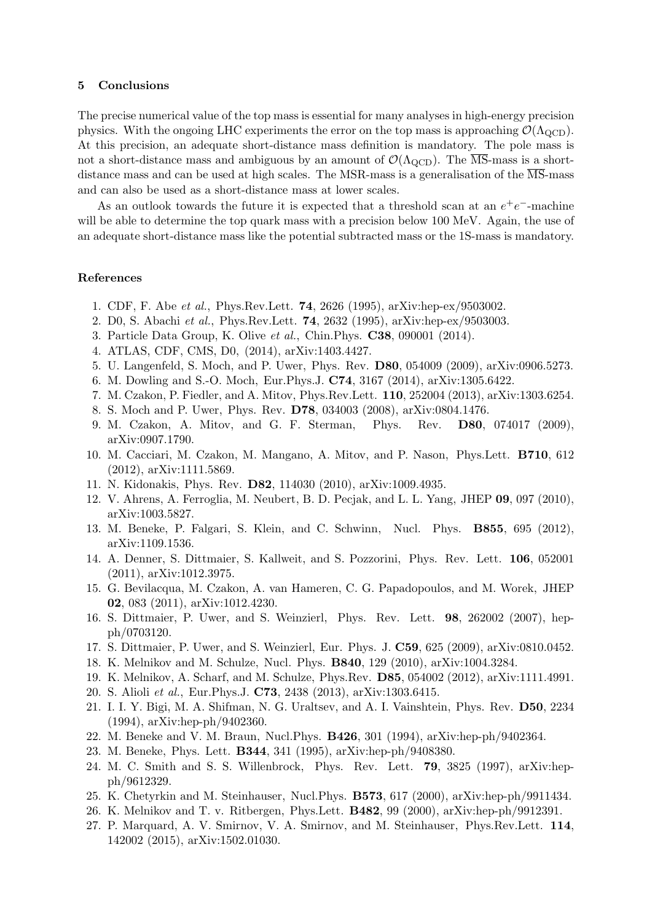## 5 Conclusions

The precise numerical value of the top mass is essential for many analyses in high-energy precision physics. With the ongoing LHC experiments the error on the top mass is approaching  $\mathcal{O}(\Lambda_{\text{QCD}})$ . At this precision, an adequate short-distance mass definition is mandatory. The pole mass is not a short-distance mass and ambiguous by an amount of  $\mathcal{O}(\Lambda_{\text{QCD}})$ . The  $\overline{\text{MS}}$ -mass is a shortdistance mass and can be used at high scales. The MSR-mass is a generalisation of the  $\overline{\text{MS}}$ -mass and can also be used as a short-distance mass at lower scales.

As an outlook towards the future it is expected that a threshold scan at an  $e^+e^-$ -machine will be able to determine the top quark mass with a precision below 100 MeV. Again, the use of an adequate short-distance mass like the potential subtracted mass or the 1S-mass is mandatory.

## References

- <span id="page-7-0"></span>1. CDF, F. Abe et al., Phys.Rev.Lett. 74, 2626 (1995), arXiv:hep-ex/9503002.
- <span id="page-7-1"></span>2. D0, S. Abachi et al., Phys.Rev.Lett. 74, 2632 (1995), arXiv:hep-ex/9503003.
- <span id="page-7-2"></span>3. Particle Data Group, K. Olive et al., Chin.Phys. C38, 090001 (2014).
- <span id="page-7-3"></span>4. ATLAS, CDF, CMS, D0, (2014), arXiv:1403.4427.
- <span id="page-7-4"></span>5. U. Langenfeld, S. Moch, and P. Uwer, Phys. Rev. D80, 054009 (2009), arXiv:0906.5273.
- <span id="page-7-5"></span>6. M. Dowling and S.-O. Moch, Eur.Phys.J. C74, 3167 (2014), arXiv:1305.6422.
- <span id="page-7-6"></span>7. M. Czakon, P. Fiedler, and A. Mitov, Phys.Rev.Lett. 110, 252004 (2013), arXiv:1303.6254.
- <span id="page-7-7"></span>8. S. Moch and P. Uwer, Phys. Rev. D78, 034003 (2008), arXiv:0804.1476.
- <span id="page-7-8"></span>9. M. Czakon, A. Mitov, and G. F. Sterman, Phys. Rev. D80, 074017 (2009), arXiv:0907.1790.
- <span id="page-7-9"></span>10. M. Cacciari, M. Czakon, M. Mangano, A. Mitov, and P. Nason, Phys.Lett. B710, 612 (2012), arXiv:1111.5869.
- <span id="page-7-10"></span>11. N. Kidonakis, Phys. Rev. D82, 114030 (2010), arXiv:1009.4935.
- <span id="page-7-11"></span>12. V. Ahrens, A. Ferroglia, M. Neubert, B. D. Pecjak, and L. L. Yang, JHEP 09, 097 (2010), arXiv:1003.5827.
- <span id="page-7-12"></span>13. M. Beneke, P. Falgari, S. Klein, and C. Schwinn, Nucl. Phys. B855, 695 (2012), arXiv:1109.1536.
- <span id="page-7-13"></span>14. A. Denner, S. Dittmaier, S. Kallweit, and S. Pozzorini, Phys. Rev. Lett. 106, 052001 (2011), arXiv:1012.3975.
- <span id="page-7-14"></span>15. G. Bevilacqua, M. Czakon, A. van Hameren, C. G. Papadopoulos, and M. Worek, JHEP 02, 083 (2011), arXiv:1012.4230.
- <span id="page-7-15"></span>16. S. Dittmaier, P. Uwer, and S. Weinzierl, Phys. Rev. Lett. 98, 262002 (2007), hepph/0703120.
- <span id="page-7-16"></span>17. S. Dittmaier, P. Uwer, and S. Weinzierl, Eur. Phys. J. C59, 625 (2009), arXiv:0810.0452.
- <span id="page-7-17"></span>18. K. Melnikov and M. Schulze, Nucl. Phys. B840, 129 (2010), arXiv:1004.3284.
- <span id="page-7-18"></span>19. K. Melnikov, A. Scharf, and M. Schulze, Phys.Rev. D85, 054002 (2012), arXiv:1111.4991.
- <span id="page-7-19"></span>20. S. Alioli et al., Eur.Phys.J. C73, 2438 (2013), arXiv:1303.6415.
- <span id="page-7-20"></span>21. I. I. Y. Bigi, M. A. Shifman, N. G. Uraltsev, and A. I. Vainshtein, Phys. Rev. D50, 2234 (1994), arXiv:hep-ph/9402360.
- <span id="page-7-21"></span>22. M. Beneke and V. M. Braun, Nucl.Phys. B426, 301 (1994), arXiv:hep-ph/9402364.
- <span id="page-7-22"></span>23. M. Beneke, Phys. Lett. B344, 341 (1995), arXiv:hep-ph/9408380.
- <span id="page-7-23"></span>24. M. C. Smith and S. S. Willenbrock, Phys. Rev. Lett. 79, 3825 (1997), arXiv:hepph/9612329.
- <span id="page-7-24"></span>25. K. Chetyrkin and M. Steinhauser, Nucl.Phys. B573, 617 (2000), arXiv:hep-ph/9911434.
- <span id="page-7-25"></span>26. K. Melnikov and T. v. Ritbergen, Phys.Lett. B482, 99 (2000), arXiv:hep-ph/9912391.
- <span id="page-7-26"></span>27. P. Marquard, A. V. Smirnov, V. A. Smirnov, and M. Steinhauser, Phys.Rev.Lett. 114, 142002 (2015), arXiv:1502.01030.